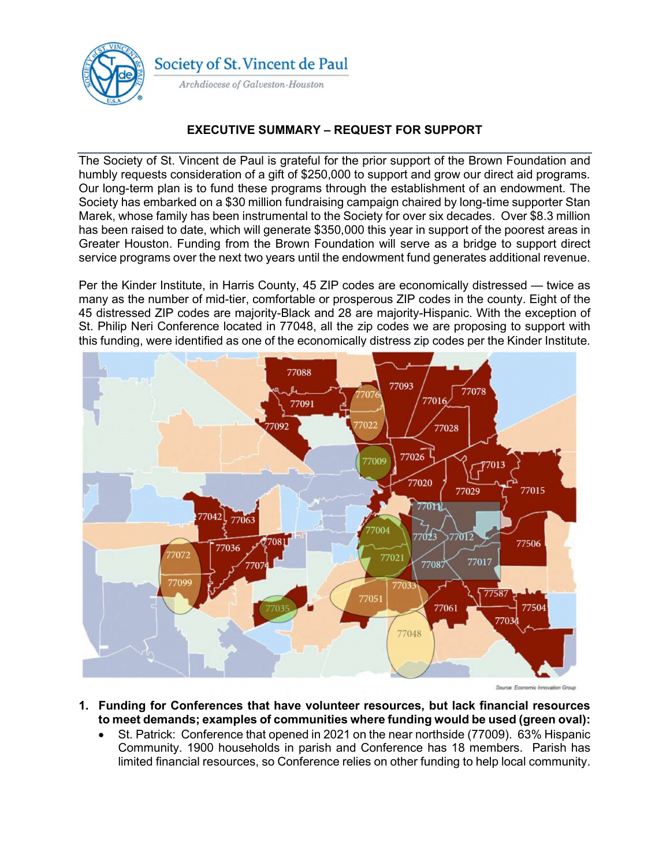

## EXECUTIVE SUMMARY – REQUEST FOR SUPPORT

The Society of St. Vincent de Paul is grateful for the prior support of the Brown Foundation and humbly requests consideration of a gift of \$250,000 to support and grow our direct aid programs. Our long-term plan is to fund these programs through the establishment of an endowment. The Society has embarked on a \$30 million fundraising campaign chaired by long-time supporter Stan Marek, whose family has been instrumental to the Society for over six decades. Over \$8.3 million has been raised to date, which will generate \$350,000 this year in support of the poorest areas in Greater Houston. Funding from the Brown Foundation will serve as a bridge to support direct service programs over the next two years until the endowment fund generates additional revenue.

Per the Kinder Institute, in Harris County, 45 ZIP codes are economically distressed — twice as many as the number of mid-tier, comfortable or prosperous ZIP codes in the county. Eight of the 45 distressed ZIP codes are majority-Black and 28 are majority-Hispanic. With the exception of St. Philip Neri Conference located in 77048, all the zip codes we are proposing to support with this funding, were identified as one of the economically distress zip codes per the Kinder Institute.



- 1. Funding for Conferences that have volunteer resources, but lack financial resources to meet demands; examples of communities where funding would be used (green oval):
	- St. Patrick: Conference that opened in 2021 on the near northside (77009). 63% Hispanic Community. 1900 households in parish and Conference has 18 members. Parish has limited financial resources, so Conference relies on other funding to help local community.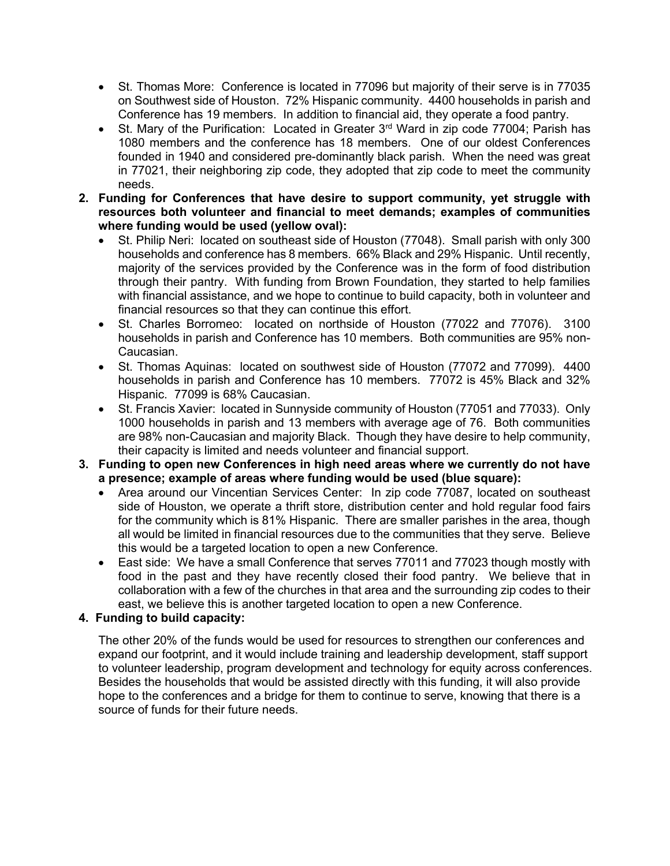- St. Thomas More: Conference is located in 77096 but majority of their serve is in 77035 on Southwest side of Houston. 72% Hispanic community. 4400 households in parish and Conference has 19 members. In addition to financial aid, they operate a food pantry.
- St. Mary of the Purification: Located in Greater 3<sup>rd</sup> Ward in zip code 77004; Parish has 1080 members and the conference has 18 members. One of our oldest Conferences founded in 1940 and considered pre-dominantly black parish. When the need was great in 77021, their neighboring zip code, they adopted that zip code to meet the community needs.
- 2. Funding for Conferences that have desire to support community, yet struggle with resources both volunteer and financial to meet demands; examples of communities where funding would be used (yellow oval):
	- St. Philip Neri: located on southeast side of Houston (77048). Small parish with only 300 households and conference has 8 members. 66% Black and 29% Hispanic. Until recently, majority of the services provided by the Conference was in the form of food distribution through their pantry. With funding from Brown Foundation, they started to help families with financial assistance, and we hope to continue to build capacity, both in volunteer and financial resources so that they can continue this effort.
	- St. Charles Borromeo: located on northside of Houston (77022 and 77076). 3100 households in parish and Conference has 10 members. Both communities are 95% non-Caucasian.
	- St. Thomas Aquinas: located on southwest side of Houston (77072 and 77099). 4400 households in parish and Conference has 10 members. 77072 is 45% Black and 32% Hispanic. 77099 is 68% Caucasian.
	- St. Francis Xavier: located in Sunnyside community of Houston (77051 and 77033). Only 1000 households in parish and 13 members with average age of 76. Both communities are 98% non-Caucasian and majority Black. Though they have desire to help community, their capacity is limited and needs volunteer and financial support.
- 3. Funding to open new Conferences in high need areas where we currently do not have a presence; example of areas where funding would be used (blue square):
	- Area around our Vincentian Services Center: In zip code 77087, located on southeast side of Houston, we operate a thrift store, distribution center and hold regular food fairs for the community which is 81% Hispanic. There are smaller parishes in the area, though all would be limited in financial resources due to the communities that they serve. Believe this would be a targeted location to open a new Conference.
	- East side: We have a small Conference that serves 77011 and 77023 though mostly with food in the past and they have recently closed their food pantry. We believe that in collaboration with a few of the churches in that area and the surrounding zip codes to their east, we believe this is another targeted location to open a new Conference.

## 4. Funding to build capacity:

The other 20% of the funds would be used for resources to strengthen our conferences and expand our footprint, and it would include training and leadership development, staff support to volunteer leadership, program development and technology for equity across conferences. Besides the households that would be assisted directly with this funding, it will also provide hope to the conferences and a bridge for them to continue to serve, knowing that there is a source of funds for their future needs.